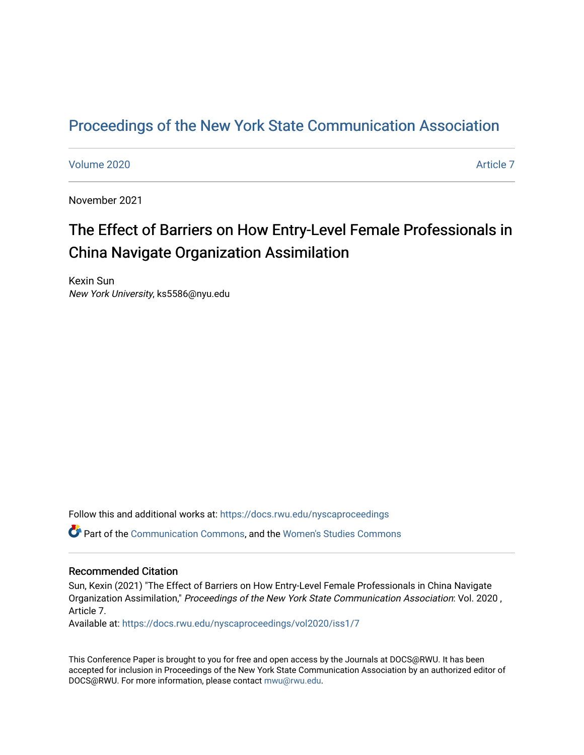## [Proceedings of the New York State Communication Association](https://docs.rwu.edu/nyscaproceedings)

[Volume 2020](https://docs.rwu.edu/nyscaproceedings/vol2020) **Article 7** Article 7

November 2021

# The Effect of Barriers on How Entry-Level Female Professionals in China Navigate Organization Assimilation

Kexin Sun New York University, ks5586@nyu.edu

Follow this and additional works at: [https://docs.rwu.edu/nyscaproceedings](https://docs.rwu.edu/nyscaproceedings?utm_source=docs.rwu.edu%2Fnyscaproceedings%2Fvol2020%2Fiss1%2F7&utm_medium=PDF&utm_campaign=PDFCoverPages)

Part of the [Communication Commons,](http://network.bepress.com/hgg/discipline/325?utm_source=docs.rwu.edu%2Fnyscaproceedings%2Fvol2020%2Fiss1%2F7&utm_medium=PDF&utm_campaign=PDFCoverPages) and the [Women's Studies Commons](http://network.bepress.com/hgg/discipline/561?utm_source=docs.rwu.edu%2Fnyscaproceedings%2Fvol2020%2Fiss1%2F7&utm_medium=PDF&utm_campaign=PDFCoverPages) 

#### Recommended Citation

Sun, Kexin (2021) "The Effect of Barriers on How Entry-Level Female Professionals in China Navigate Organization Assimilation," Proceedings of the New York State Communication Association: Vol. 2020 , Article 7.

Available at: [https://docs.rwu.edu/nyscaproceedings/vol2020/iss1/7](https://docs.rwu.edu/nyscaproceedings/vol2020/iss1/7?utm_source=docs.rwu.edu%2Fnyscaproceedings%2Fvol2020%2Fiss1%2F7&utm_medium=PDF&utm_campaign=PDFCoverPages)

This Conference Paper is brought to you for free and open access by the Journals at DOCS@RWU. It has been accepted for inclusion in Proceedings of the New York State Communication Association by an authorized editor of DOCS@RWU. For more information, please contact [mwu@rwu.edu.](mailto:mwu@rwu.edu)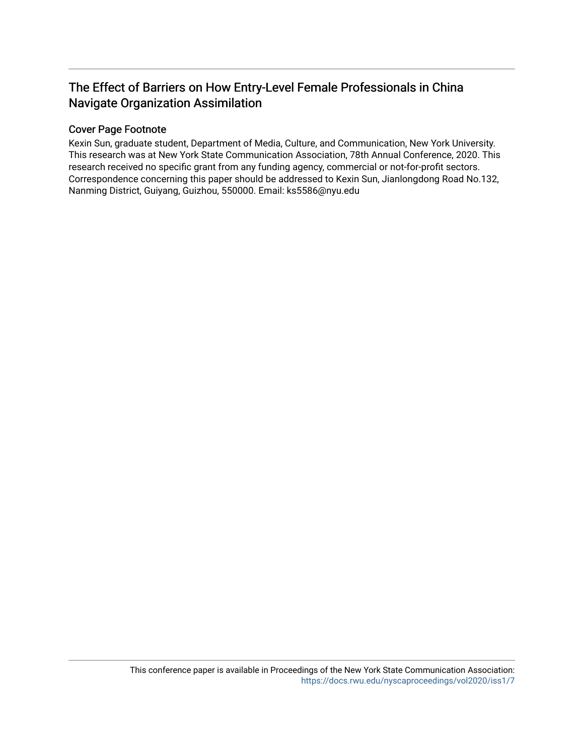## The Effect of Barriers on How Entry-Level Female Professionals in China Navigate Organization Assimilation

### Cover Page Footnote

Kexin Sun, graduate student, Department of Media, Culture, and Communication, New York University. This research was at New York State Communication Association, 78th Annual Conference, 2020. This research received no specific grant from any funding agency, commercial or not-for-profit sectors. Correspondence concerning this paper should be addressed to Kexin Sun, Jianlongdong Road No.132, Nanming District, Guiyang, Guizhou, 550000. Email: ks5586@nyu.edu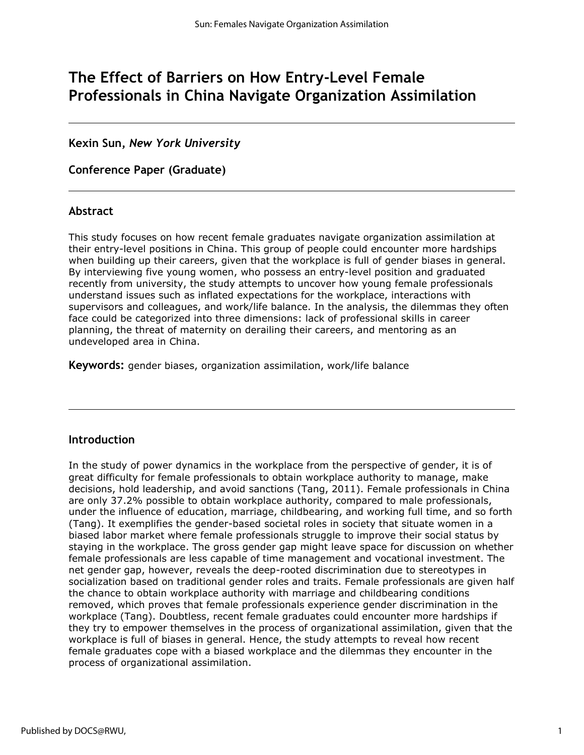## **The Effect of Barriers on How Entry-Level Female Professionals in China Navigate Organization Assimilation**

### **Kexin Sun,** *New York University*

**Conference Paper (Graduate)**

### **Abstract**

This study focuses on how recent female graduates navigate organization assimilation at their entry-level positions in China. This group of people could encounter more hardships when building up their careers, given that the workplace is full of gender biases in general. By interviewing five young women, who possess an entry-level position and graduated recently from university, the study attempts to uncover how young female professionals understand issues such as inflated expectations for the workplace, interactions with supervisors and colleagues, and work/life balance. In the analysis, the dilemmas they often face could be categorized into three dimensions: lack of professional skills in career planning, the threat of maternity on derailing their careers, and mentoring as an undeveloped area in China.

**Keywords:** gender biases, organization assimilation, work/life balance

### **Introduction**

In the study of power dynamics in the workplace from the perspective of gender, it is of great difficulty for female professionals to obtain workplace authority to manage, make decisions, hold leadership, and avoid sanctions (Tang, 2011). Female professionals in China are only 37.2% possible to obtain workplace authority, compared to male professionals, under the influence of education, marriage, childbearing, and working full time, and so forth (Tang). It exemplifies the gender-based societal roles in society that situate women in a biased labor market where female professionals struggle to improve their social status by staying in the workplace. The gross gender gap might leave space for discussion on whether female professionals are less capable of time management and vocational investment. The net gender gap, however, reveals the deep-rooted discrimination due to stereotypes in socialization based on traditional gender roles and traits. Female professionals are given half the chance to obtain workplace authority with marriage and childbearing conditions removed, which proves that female professionals experience gender discrimination in the workplace (Tang). Doubtless, recent female graduates could encounter more hardships if they try to empower themselves in the process of organizational assimilation, given that the workplace is full of biases in general. Hence, the study attempts to reveal how recent female graduates cope with a biased workplace and the dilemmas they encounter in the process of organizational assimilation.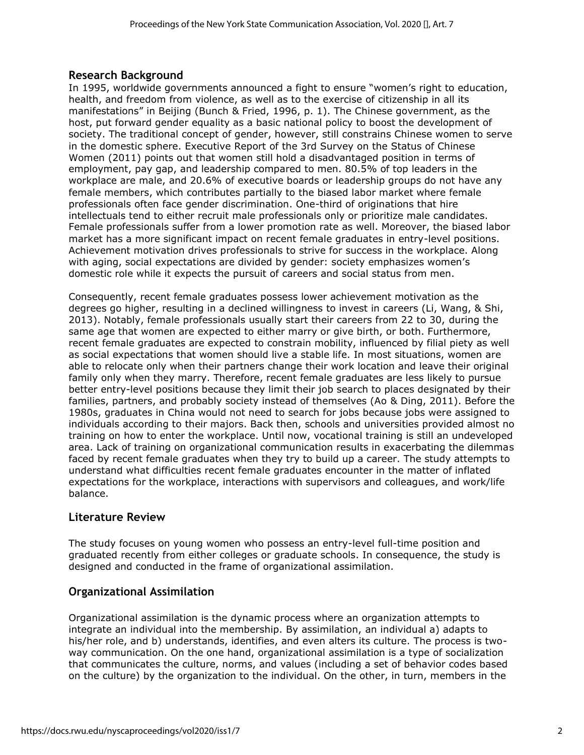### **Research Background**

In 1995, worldwide governments announced a fight to ensure "women's right to education, health, and freedom from violence, as well as to the exercise of citizenship in all its manifestations" in Beijing (Bunch & Fried, 1996, p. 1). The Chinese government, as the host, put forward gender equality as a basic national policy to boost the development of society. The traditional concept of gender, however, still constrains Chinese women to serve in the domestic sphere. Executive Report of the 3rd Survey on the Status of Chinese Women (2011) points out that women still hold a disadvantaged position in terms of employment, pay gap, and leadership compared to men. 80.5% of top leaders in the workplace are male, and 20.6% of executive boards or leadership groups do not have any female members, which contributes partially to the biased labor market where female professionals often face gender discrimination. One-third of originations that hire intellectuals tend to either recruit male professionals only or prioritize male candidates. Female professionals suffer from a lower promotion rate as well. Moreover, the biased labor market has a more significant impact on recent female graduates in entry-level positions. Achievement motivation drives professionals to strive for success in the workplace. Along with aging, social expectations are divided by gender: society emphasizes women's domestic role while it expects the pursuit of careers and social status from men.

Consequently, recent female graduates possess lower achievement motivation as the degrees go higher, resulting in a declined willingness to invest in careers (Li, Wang, & Shi, 2013). Notably, female professionals usually start their careers from 22 to 30, during the same age that women are expected to either marry or give birth, or both. Furthermore, recent female graduates are expected to constrain mobility, influenced by filial piety as well as social expectations that women should live a stable life. In most situations, women are able to relocate only when their partners change their work location and leave their original family only when they marry. Therefore, recent female graduates are less likely to pursue better entry-level positions because they limit their job search to places designated by their families, partners, and probably society instead of themselves (Ao & Ding, 2011). Before the 1980s, graduates in China would not need to search for jobs because jobs were assigned to individuals according to their majors. Back then, schools and universities provided almost no training on how to enter the workplace. Until now, vocational training is still an undeveloped area. Lack of training on organizational communication results in exacerbating the dilemmas faced by recent female graduates when they try to build up a career. The study attempts to understand what difficulties recent female graduates encounter in the matter of inflated expectations for the workplace, interactions with supervisors and colleagues, and work/life balance.

## **Literature Review**

The study focuses on young women who possess an entry-level full-time position and graduated recently from either colleges or graduate schools. In consequence, the study is designed and conducted in the frame of organizational assimilation.

## **Organizational Assimilation**

Organizational assimilation is the dynamic process where an organization attempts to integrate an individual into the membership. By assimilation, an individual a) adapts to his/her role, and b) understands, identifies, and even alters its culture. The process is twoway communication. On the one hand, organizational assimilation is a type of socialization that communicates the culture, norms, and values (including a set of behavior codes based on the culture) by the organization to the individual. On the other, in turn, members in the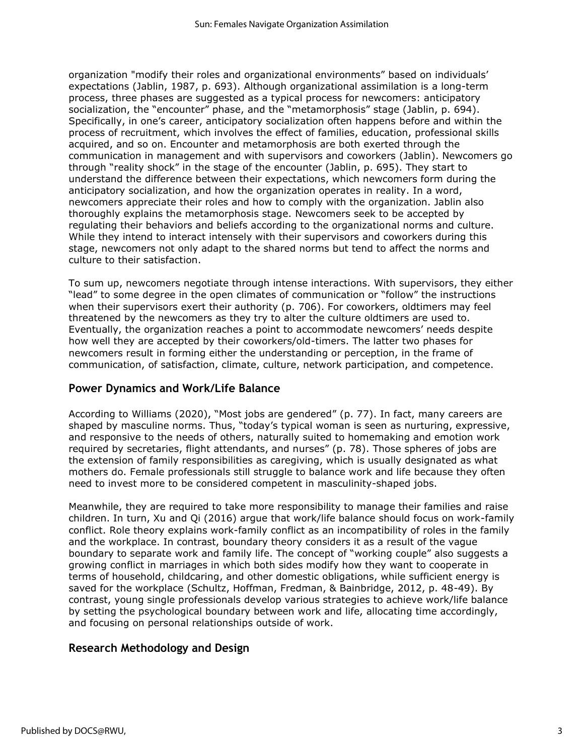organization "modify their roles and organizational environments" based on individuals' expectations (Jablin, 1987, p. 693). Although organizational assimilation is a long-term process, three phases are suggested as a typical process for newcomers: anticipatory socialization, the "encounter" phase, and the "metamorphosis" stage (Jablin, p. 694). Specifically, in one's career, anticipatory socialization often happens before and within the process of recruitment, which involves the effect of families, education, professional skills acquired, and so on. Encounter and metamorphosis are both exerted through the communication in management and with supervisors and coworkers (Jablin). Newcomers go through "reality shock" in the stage of the encounter (Jablin, p. 695). They start to understand the difference between their expectations, which newcomers form during the anticipatory socialization, and how the organization operates in reality. In a word, newcomers appreciate their roles and how to comply with the organization. Jablin also thoroughly explains the metamorphosis stage. Newcomers seek to be accepted by regulating their behaviors and beliefs according to the organizational norms and culture. While they intend to interact intensely with their supervisors and coworkers during this stage, newcomers not only adapt to the shared norms but tend to affect the norms and culture to their satisfaction.

To sum up, newcomers negotiate through intense interactions. With supervisors, they either "lead" to some degree in the open climates of communication or "follow" the instructions when their supervisors exert their authority (p. 706). For coworkers, oldtimers may feel threatened by the newcomers as they try to alter the culture oldtimers are used to. Eventually, the organization reaches a point to accommodate newcomers' needs despite how well they are accepted by their coworkers/old-timers. The latter two phases for newcomers result in forming either the understanding or perception, in the frame of communication, of satisfaction, climate, culture, network participation, and competence.

### **Power Dynamics and Work/Life Balance**

According to Williams (2020), "Most jobs are gendered" (p. 77). In fact, many careers are shaped by masculine norms. Thus, "today's typical woman is seen as nurturing, expressive, and responsive to the needs of others, naturally suited to homemaking and emotion work required by secretaries, flight attendants, and nurses" (p. 78). Those spheres of jobs are the extension of family responsibilities as caregiving, which is usually designated as what mothers do. Female professionals still struggle to balance work and life because they often need to invest more to be considered competent in masculinity-shaped jobs.

Meanwhile, they are required to take more responsibility to manage their families and raise children. In turn, Xu and Qi (2016) argue that work/life balance should focus on work-family conflict. Role theory explains work-family conflict as an incompatibility of roles in the family and the workplace. In contrast, boundary theory considers it as a result of the vague boundary to separate work and family life. The concept of "working couple" also suggests a growing conflict in marriages in which both sides modify how they want to cooperate in terms of household, childcaring, and other domestic obligations, while sufficient energy is saved for the workplace (Schultz, Hoffman, Fredman, & Bainbridge, 2012, p. 48-49). By contrast, young single professionals develop various strategies to achieve work/life balance by setting the psychological boundary between work and life, allocating time accordingly, and focusing on personal relationships outside of work.

## **Research Methodology and Design**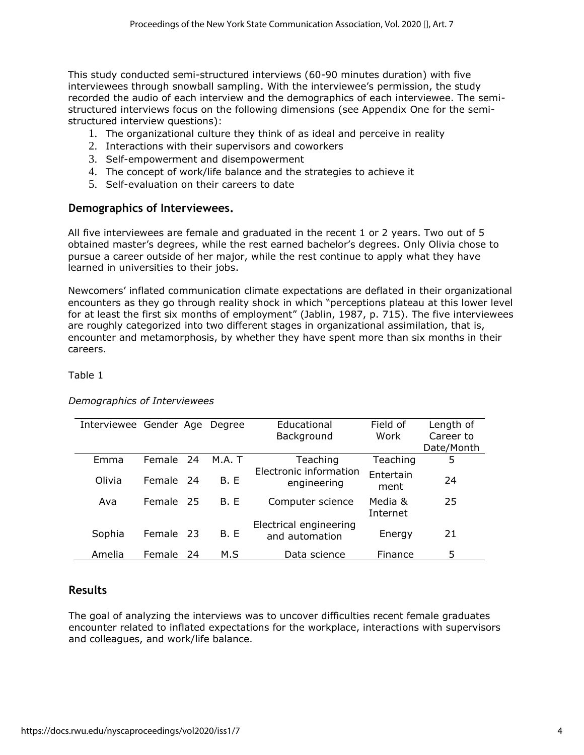This study conducted semi-structured interviews (60-90 minutes duration) with five interviewees through snowball sampling. With the interviewee's permission, the study recorded the audio of each interview and the demographics of each interviewee. The semistructured interviews focus on the following dimensions (see Appendix One for the semistructured interview questions):

- 1. The organizational culture they think of as ideal and perceive in reality
- 2. Interactions with their supervisors and coworkers
- 3. Self-empowerment and disempowerment
- 4. The concept of work/life balance and the strategies to achieve it
- 5. Self-evaluation on their careers to date

### **Demographics of Interviewees.**

All five interviewees are female and graduated in the recent 1 or 2 years. Two out of 5 obtained master's degrees, while the rest earned bachelor's degrees. Only Olivia chose to pursue a career outside of her major, while the rest continue to apply what they have learned in universities to their jobs.

Newcomers' inflated communication climate expectations are deflated in their organizational encounters as they go through reality shock in which "perceptions plateau at this lower level for at least the first six months of employment" (Jablin, 1987, p. 715). The five interviewees are roughly categorized into two different stages in organizational assimilation, that is, encounter and metamorphosis, by whether they have spent more than six months in their careers.

Table 1

| Interviewee Gender Age |               |     | Dearee      | Educational                              | Field of            | Length of  |
|------------------------|---------------|-----|-------------|------------------------------------------|---------------------|------------|
|                        |               |     |             | Background                               | Work                | Career to  |
|                        |               |     |             |                                          |                     | Date/Month |
| Emma                   | Female        | 24  | M.A. T      | Teaching                                 | Teaching            | 5          |
| Olivia                 | <b>Female</b> | -24 | <b>B.</b> E | Electronic information<br>engineering    | Entertain<br>ment   | 24         |
| Ava                    | Female        | -25 | <b>B.</b> E | Computer science                         | Media &<br>Internet | 25         |
| Sophia                 | Female        | -23 | <b>B.</b> E | Electrical engineering<br>and automation | Energy              | 21         |
| Amelia                 | Female        | 24  | M.S         | Data science                             | Finance             | 5          |

### *Demographics of Interviewees*

### **Results**

The goal of analyzing the interviews was to uncover difficulties recent female graduates encounter related to inflated expectations for the workplace, interactions with supervisors and colleagues, and work/life balance.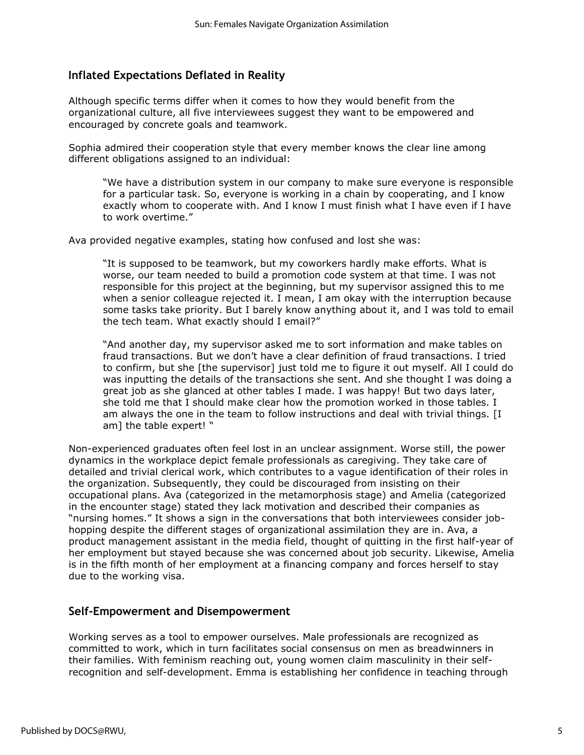## **Inflated Expectations Deflated in Reality**

Although specific terms differ when it comes to how they would benefit from the organizational culture, all five interviewees suggest they want to be empowered and encouraged by concrete goals and teamwork.

Sophia admired their cooperation style that every member knows the clear line among different obligations assigned to an individual:

"We have a distribution system in our company to make sure everyone is responsible for a particular task. So, everyone is working in a chain by cooperating, and I know exactly whom to cooperate with. And I know I must finish what I have even if I have to work overtime."

Ava provided negative examples, stating how confused and lost she was:

"It is supposed to be teamwork, but my coworkers hardly make efforts. What is worse, our team needed to build a promotion code system at that time. I was not responsible for this project at the beginning, but my supervisor assigned this to me when a senior colleague rejected it. I mean, I am okay with the interruption because some tasks take priority. But I barely know anything about it, and I was told to email the tech team. What exactly should I email?"

"And another day, my supervisor asked me to sort information and make tables on fraud transactions. But we don't have a clear definition of fraud transactions. I tried to confirm, but she [the supervisor] just told me to figure it out myself. All I could do was inputting the details of the transactions she sent. And she thought I was doing a great job as she glanced at other tables I made. I was happy! But two days later, she told me that I should make clear how the promotion worked in those tables. I am always the one in the team to follow instructions and deal with trivial things. [I am] the table expert! "

Non-experienced graduates often feel lost in an unclear assignment. Worse still, the power dynamics in the workplace depict female professionals as caregiving. They take care of detailed and trivial clerical work, which contributes to a vague identification of their roles in the organization. Subsequently, they could be discouraged from insisting on their occupational plans. Ava (categorized in the metamorphosis stage) and Amelia (categorized in the encounter stage) stated they lack motivation and described their companies as "nursing homes." It shows a sign in the conversations that both interviewees consider jobhopping despite the different stages of organizational assimilation they are in. Ava, a product management assistant in the media field, thought of quitting in the first half-year of her employment but stayed because she was concerned about job security. Likewise, Amelia is in the fifth month of her employment at a financing company and forces herself to stay due to the working visa.

### **Self-Empowerment and Disempowerment**

Working serves as a tool to empower ourselves. Male professionals are recognized as committed to work, which in turn facilitates social consensus on men as breadwinners in their families. With feminism reaching out, young women claim masculinity in their selfrecognition and self-development. Emma is establishing her confidence in teaching through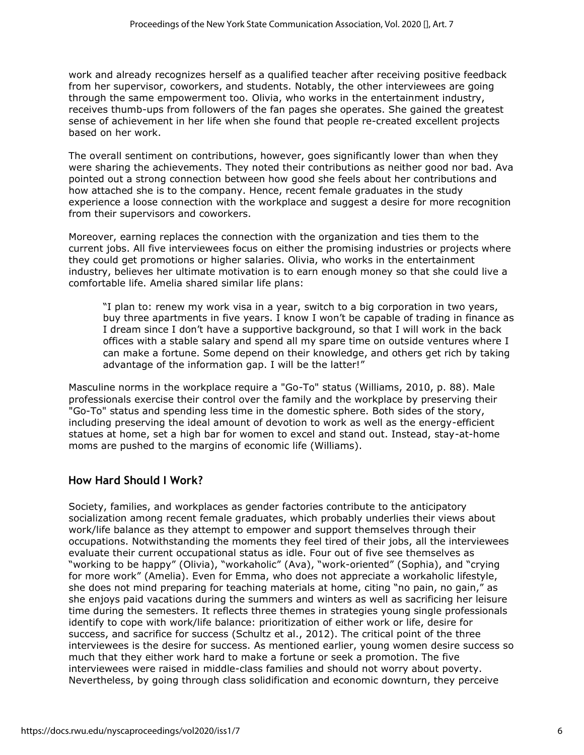work and already recognizes herself as a qualified teacher after receiving positive feedback from her supervisor, coworkers, and students. Notably, the other interviewees are going through the same empowerment too. Olivia, who works in the entertainment industry, receives thumb-ups from followers of the fan pages she operates. She gained the greatest sense of achievement in her life when she found that people re-created excellent projects based on her work.

The overall sentiment on contributions, however, goes significantly lower than when they were sharing the achievements. They noted their contributions as neither good nor bad. Ava pointed out a strong connection between how good she feels about her contributions and how attached she is to the company. Hence, recent female graduates in the study experience a loose connection with the workplace and suggest a desire for more recognition from their supervisors and coworkers.

Moreover, earning replaces the connection with the organization and ties them to the current jobs. All five interviewees focus on either the promising industries or projects where they could get promotions or higher salaries. Olivia, who works in the entertainment industry, believes her ultimate motivation is to earn enough money so that she could live a comfortable life. Amelia shared similar life plans:

"I plan to: renew my work visa in a year, switch to a big corporation in two years, buy three apartments in five years. I know I won't be capable of trading in finance as I dream since I don't have a supportive background, so that I will work in the back offices with a stable salary and spend all my spare time on outside ventures where I can make a fortune. Some depend on their knowledge, and others get rich by taking advantage of the information gap. I will be the latter!"

Masculine norms in the workplace require a "Go-To" status (Williams, 2010, p. 88). Male professionals exercise their control over the family and the workplace by preserving their "Go-To" status and spending less time in the domestic sphere. Both sides of the story, including preserving the ideal amount of devotion to work as well as the energy-efficient statues at home, set a high bar for women to excel and stand out. Instead, stay-at-home moms are pushed to the margins of economic life (Williams).

## **How Hard Should I Work?**

Society, families, and workplaces as gender factories contribute to the anticipatory socialization among recent female graduates, which probably underlies their views about work/life balance as they attempt to empower and support themselves through their occupations. Notwithstanding the moments they feel tired of their jobs, all the interviewees evaluate their current occupational status as idle. Four out of five see themselves as "working to be happy" (Olivia), "workaholic" (Ava), "work-oriented" (Sophia), and "crying for more work" (Amelia). Even for Emma, who does not appreciate a workaholic lifestyle, she does not mind preparing for teaching materials at home, citing "no pain, no gain," as she enjoys paid vacations during the summers and winters as well as sacrificing her leisure time during the semesters. It reflects three themes in strategies young single professionals identify to cope with work/life balance: prioritization of either work or life, desire for success, and sacrifice for success (Schultz et al., 2012). The critical point of the three interviewees is the desire for success. As mentioned earlier, young women desire success so much that they either work hard to make a fortune or seek a promotion. The five interviewees were raised in middle-class families and should not worry about poverty. Nevertheless, by going through class solidification and economic downturn, they perceive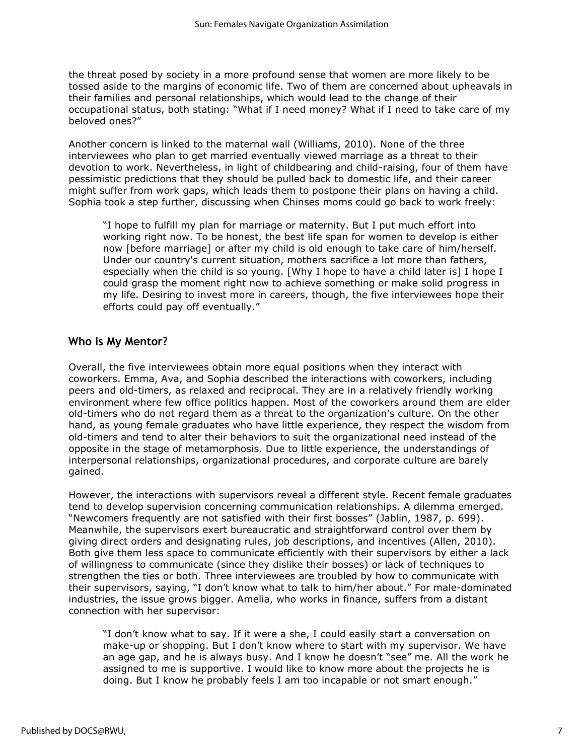the threat posed by society in a more profound sense that women are more likely to be tossed aside to the margins of economic life. Two of them are concerned about upheavals in their families and personal relationships, which would lead to the change of their occupational status, both stating: "What if I need money? What if I need to take care of my beloved ones?"

Another concern is linked to the maternal wall (Williams, 2010). None of the three interviewees who plan to get married eventually viewed marriage as a threat to their devotion to work. Nevertheless, in light of childbearing and child-raising, four of them have pessimistic predictions that they should be pulled back to domestic life, and their career might suffer from work gaps, which leads them to postpone their plans on having a child. Sophia took a step further, discussing when Chinses moms could go back to work freely:

"I hope to fulfill my plan for marriage or maternity. But I put much effort into working right now. To be honest, the best life span for women to develop is either now [before marriage] or after my child is old enough to take care of him/herself. Under our country's current situation, mothers sacrifice a lot more than fathers, especially when the child is so young. [Why I hope to have a child later is] I hope I could grasp the moment right now to achieve something or make solid progress in my life. Desiring to invest more in careers, though, the five interviewees hope their efforts could pay off eventually."

### **Who Is My Mentor?**

Overall, the five interviewees obtain more equal positions when they interact with coworkers. Emma, Ava, and Sophia described the interactions with coworkers, including peers and old-timers, as relaxed and reciprocal. They are in a relatively friendly working environment where few office politics happen. Most of the coworkers around them are elder old-timers who do not regard them as a threat to the organization's culture. On the other hand, as young female graduates who have little experience, they respect the wisdom from old-timers and tend to alter their behaviors to suit the organizational need instead of the opposite in the stage of metamorphosis. Due to little experience, the understandings of interpersonal relationships, organizational procedures, and corporate culture are barely gained.

However, the interactions with supervisors reveal a different style. Recent female graduates tend to develop supervision concerning communication relationships. A dilemma emerged. "Newcomers frequently are not satisfied with their first bosses" (Jablin, 1987, p. 699). Meanwhile, the supervisors exert bureaucratic and straightforward control over them by giving direct orders and designating rules, job descriptions, and incentives (Allen, 2010). Both give them less space to communicate efficiently with their supervisors by either a lack of willingness to communicate (since they dislike their bosses) or lack of techniques to strengthen the ties or both. Three interviewees are troubled by how to communicate with their supervisors, saying, "I don't know what to talk to him/her about." For male-dominated industries, the issue grows bigger. Amelia, who works in finance, suffers from a distant connection with her supervisor:

"I don't know what to say. If it were a she, I could easily start a conversation on make-up or shopping. But I don't know where to start with my supervisor. We have an age gap, and he is always busy. And I know he doesn't "see" me. All the work he assigned to me is supportive. I would like to know more about the projects he is doing. But I know he probably feels I am too incapable or not smart enough."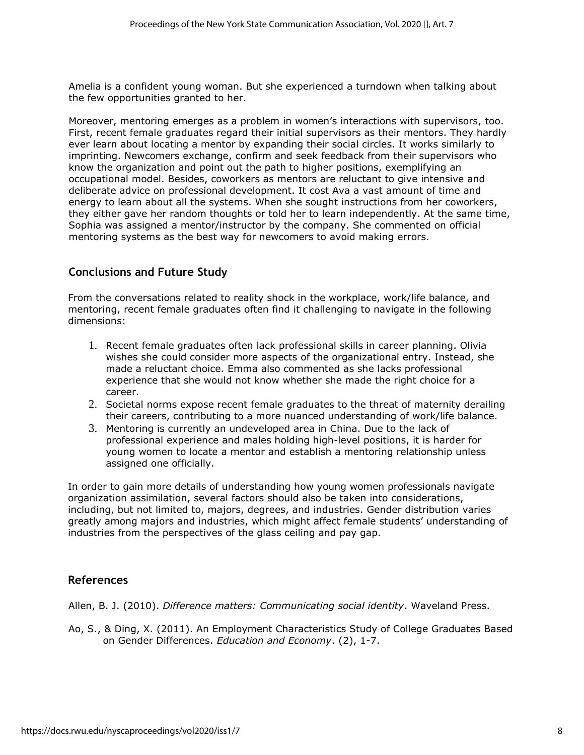Amelia is a confident young woman. But she experienced a turndown when talking about the few opportunities granted to her.

Moreover, mentoring emerges as a problem in women's interactions with supervisors, too. First, recent female graduates regard their initial supervisors as their mentors. They hardly ever learn about locating a mentor by expanding their social circles. It works similarly to imprinting. Newcomers exchange, confirm and seek feedback from their supervisors who know the organization and point out the path to higher positions, exemplifying an occupational model. Besides, coworkers as mentors are reluctant to give intensive and deliberate advice on professional development. It cost Ava a vast amount of time and energy to learn about all the systems. When she sought instructions from her coworkers, they either gave her random thoughts or told her to learn independently. At the same time, Sophia was assigned a mentor/instructor by the company. She commented on official mentoring systems as the best way for newcomers to avoid making errors.

## **Conclusions and Future Study**

From the conversations related to reality shock in the workplace, work/life balance, and mentoring, recent female graduates often find it challenging to navigate in the following dimensions:

- 1. Recent female graduates often lack professional skills in career planning. Olivia wishes she could consider more aspects of the organizational entry. Instead, she made a reluctant choice. Emma also commented as she lacks professional experience that she would not know whether she made the right choice for a career.
- 2. Societal norms expose recent female graduates to the threat of maternity derailing their careers, contributing to a more nuanced understanding of work/life balance.
- 3. Mentoring is currently an undeveloped area in China. Due to the lack of professional experience and males holding high-level positions, it is harder for young women to locate a mentor and establish a mentoring relationship unless assigned one officially.

In order to gain more details of understanding how young women professionals navigate organization assimilation, several factors should also be taken into considerations, including, but not limited to, majors, degrees, and industries. Gender distribution varies greatly among majors and industries, which might affect female students' understanding of industries from the perspectives of the glass ceiling and pay gap.

## **References**

Allen, B. J. (2010). *Difference matters: Communicating social identity*. Waveland Press.

Ao, S., & Ding, X. (2011). An Employment Characteristics Study of College Graduates Based on Gender Differences. *Education and Economy*. (2), 1-7.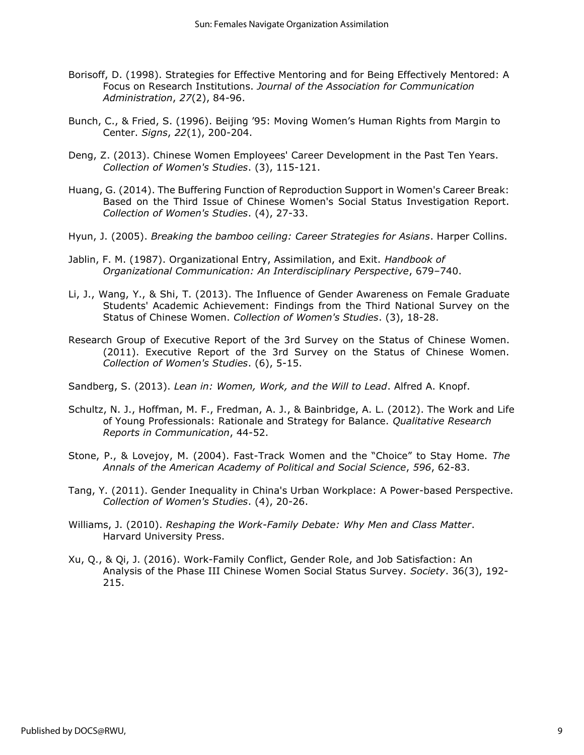- Borisoff, D. (1998). Strategies for Effective Mentoring and for Being Effectively Mentored: A Focus on Research Institutions. *Journal of the Association for Communication Administration*, *27*(2), 84-96.
- Bunch, C., & Fried, S. (1996). Beijing '95: Moving Women's Human Rights from Margin to Center. *Signs*, *22*(1), 200-204.
- Deng, Z. (2013). Chinese Women Employees' Career Development in the Past Ten Years. *Collection of Women's Studies*. (3), 115-121.
- Huang, G. (2014). The Buffering Function of Reproduction Support in Women's Career Break: Based on the Third Issue of Chinese Women's Social Status Investigation Report. *Collection of Women's Studies*. (4), 27-33.
- Hyun, J. (2005). *Breaking the bamboo ceiling: Career Strategies for Asians*. Harper Collins.
- Jablin, F. M. (1987). Organizational Entry, Assimilation, and Exit. *Handbook of Organizational Communication: An Interdisciplinary Perspective*, 679–740.
- Li, J., Wang, Y., & Shi, T. (2013). The Influence of Gender Awareness on Female Graduate Students' Academic Achievement: Findings from the Third National Survey on the Status of Chinese Women. *Collection of Women's Studies*. (3), 18-28.
- Research Group of Executive Report of the 3rd Survey on the Status of Chinese Women. (2011). Executive Report of the 3rd Survey on the Status of Chinese Women. *Collection of Women's Studies*. (6), 5-15.
- Sandberg, S. (2013). *Lean in: Women, Work, and the Will to Lead*. Alfred A. Knopf.
- Schultz, N. J., Hoffman, M. F., Fredman, A. J., & Bainbridge, A. L. (2012). The Work and Life of Young Professionals: Rationale and Strategy for Balance. *Qualitative Research Reports in Communication*, 44-52.
- Stone, P., & Lovejoy, M. (2004). Fast-Track Women and the "Choice" to Stay Home. *The Annals of the American Academy of Political and Social Science*, *596*, 62-83.
- Tang, Y. (2011). Gender Inequality in China's Urban Workplace: A Power-based Perspective. *Collection of Women's Studies*. (4), 20-26.
- Williams, J. (2010). *Reshaping the Work-Family Debate: Why Men and Class Matter*. Harvard University Press.
- Xu, Q., & Qi, J. (2016). Work-Family Conflict, Gender Role, and Job Satisfaction: An Analysis of the Phase III Chinese Women Social Status Survey. *Society*. 36(3), 192- 215.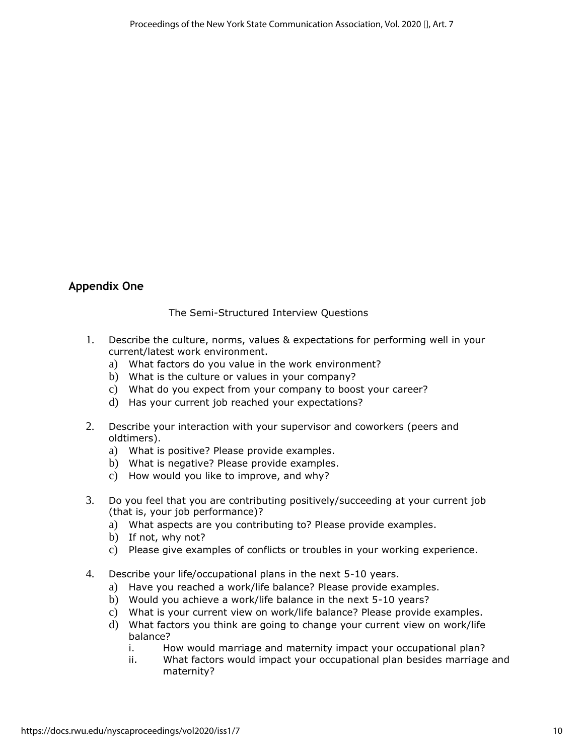## **Appendix One**

### The Semi-Structured Interview Questions

- 1. Describe the culture, norms, values & expectations for performing well in your current/latest work environment.
	- a) What factors do you value in the work environment?
	- b) What is the culture or values in your company?
	- c) What do you expect from your company to boost your career?
	- d) Has your current job reached your expectations?
- 2. Describe your interaction with your supervisor and coworkers (peers and oldtimers).
	- a) What is positive? Please provide examples.
	- b) What is negative? Please provide examples.
	- c) How would you like to improve, and why?
- 3. Do you feel that you are contributing positively/succeeding at your current job (that is, your job performance)?
	- a) What aspects are you contributing to? Please provide examples.
	- b) If not, why not?
	- c) Please give examples of conflicts or troubles in your working experience.
- 4. Describe your life/occupational plans in the next 5-10 years.
	- a) Have you reached a work/life balance? Please provide examples.
	- b) Would you achieve a work/life balance in the next 5-10 years?
	- c) What is your current view on work/life balance? Please provide examples.
	- d) What factors you think are going to change your current view on work/life balance?
		- i. How would marriage and maternity impact your occupational plan?
		- ii. What factors would impact your occupational plan besides marriage and maternity?